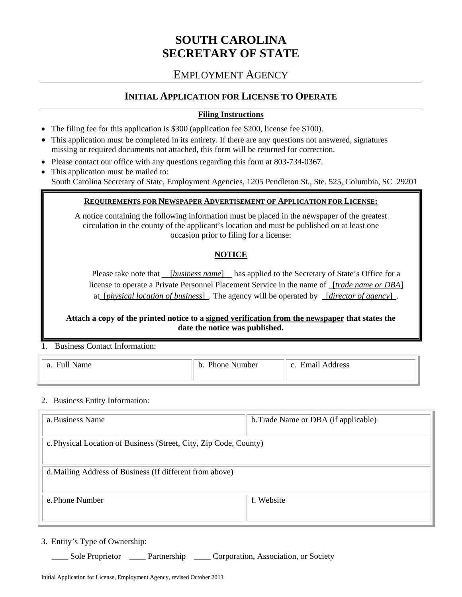# **SOUTH CAROLINA SECRETARY OF STATE**

## EMPLOYMENT AGENCY

## **INITIAL APPLICATION FOR LICENSE TO OPERATE**

#### **Filing Instructions**

- The filing fee for this application is \$300 (application fee \$200, license fee \$100).
- This application must be completed in its entirety. If there are any questions not answered, signatures missing or required documents not attached, this form will be returned for correction.
- Please contact our office with any questions regarding this form at 803-734-0367.
- This application must be mailed to: South Carolina Secretary of State, Employment Agencies, 1205 Pendleton St., Ste. 525, Columbia, SC 29201

#### **REQUIREMENTS FOR NEWSPAPER ADVERTISEMENT OF APPLICATION FOR LICENSE:**

A notice containing the following information must be placed in the newspaper of the greatest circulation in the county of the applicant's location and must be published on at least one occasion prior to filing for a license:

## **NOTICE**

Please take note that[*business name*]has applied to the Secretary of State's Office for a license to operate a Private Personnel Placement Service in the name of[*trade name or DBA*] at[*physical location of business*] *.* The agency will be operated by [*director of agency*].

**Attach a copy of the printed notice to a signed verification from the newspaper that states the date the notice was published.** 

1. Business Contact Information:

| Full<br>Name | $D$ hone<br>Number<br>ъ. | Hm91L<br>Address<br>$\sim$ |
|--------------|--------------------------|----------------------------|
|              |                          |                            |

#### 2. Business Entity Information:

| a. Business Name                                                  | b. Trade Name or DBA (if applicable) |  |
|-------------------------------------------------------------------|--------------------------------------|--|
| c. Physical Location of Business (Street, City, Zip Code, County) |                                      |  |
| d. Mailing Address of Business (If different from above)          |                                      |  |
| e. Phone Number                                                   | f. Website                           |  |

3. Entity's Type of Ownership:

\_\_\_\_ Sole Proprietor \_\_\_\_ Partnership \_\_\_\_ Corporation, Association, or Society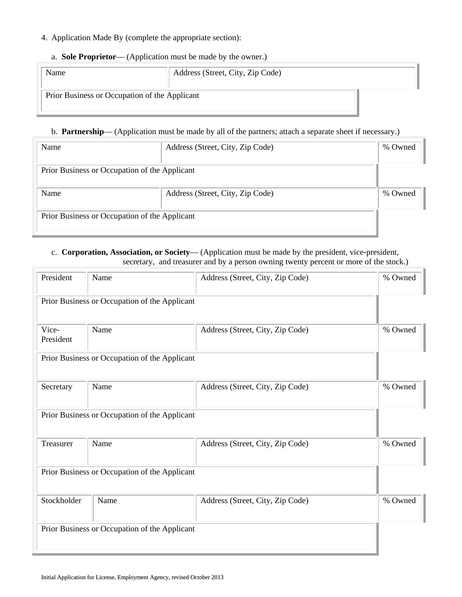#### 4. Application Made By (complete the appropriate section):

#### a. **Sole Proprietor**— (Application must be made by the owner.)

| Name                                          | Address (Street, City, Zip Code) |  |
|-----------------------------------------------|----------------------------------|--|
| Prior Business or Occupation of the Applicant |                                  |  |

#### b. **Partnership**— (Application must be made by all of the partners; attach a separate sheet if necessary.)

| Name                                          | Address (Street, City, Zip Code) |         |
|-----------------------------------------------|----------------------------------|---------|
| Prior Business or Occupation of the Applicant |                                  |         |
| Name<br>Address (Street, City, Zip Code)      |                                  | % Owned |
| Prior Business or Occupation of the Applicant |                                  |         |

#### c. **Corporation, Association, or Society**— (Application must be made by the president, vice-president, secretary, and treasurer and by a person owning twenty percent or more of the stock.)

| President          | Name                                          | Address (Street, City, Zip Code) | % Owned |
|--------------------|-----------------------------------------------|----------------------------------|---------|
|                    | Prior Business or Occupation of the Applicant |                                  |         |
| Vice-<br>President | Name                                          | Address (Street, City, Zip Code) | % Owned |
|                    | Prior Business or Occupation of the Applicant |                                  |         |
| Secretary          | Name                                          | Address (Street, City, Zip Code) | % Owned |
|                    | Prior Business or Occupation of the Applicant |                                  |         |
| Treasurer          | Name                                          | Address (Street, City, Zip Code) | % Owned |
|                    | Prior Business or Occupation of the Applicant |                                  |         |
| Stockholder        | Name                                          | Address (Street, City, Zip Code) | % Owned |
|                    | Prior Business or Occupation of the Applicant |                                  |         |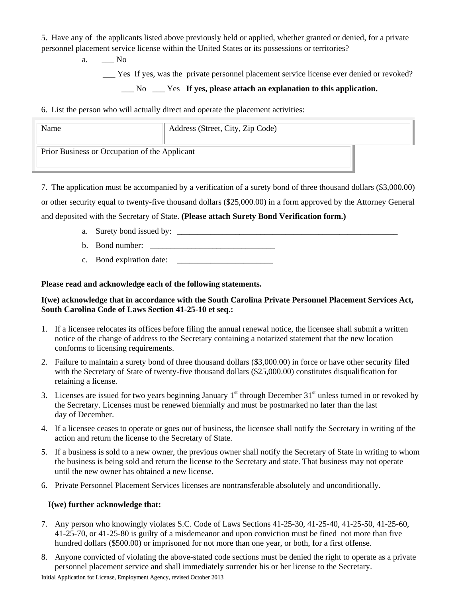5. Have any of the applicants listed above previously held or applied, whether granted or denied, for a private personnel placement service license within the United States or its possessions or territories?

a. \_\_\_ No

\_\_\_ Yes If yes, was the private personnel placement service license ever denied or revoked?

\_\_\_ No \_\_\_ Yes **If yes, please attach an explanation to this application.**

6. List the person who will actually direct and operate the placement activities:

| Name                                          | Address (Street, City, Zip Code) |  |
|-----------------------------------------------|----------------------------------|--|
| Prior Business or Occupation of the Applicant |                                  |  |

7. The application must be accompanied by a verification of a surety bond of three thousand dollars (\$3,000.00)

or other security equal to twenty-five thousand dollars (\$25,000.00) in a form approved by the Attorney General

and deposited with the Secretary of State. **(Please attach Surety Bond Verification form.)**

- a. Surety bond issued by: \_\_\_\_\_\_\_\_\_\_\_\_\_\_\_\_\_\_\_\_\_\_\_\_\_\_\_\_\_\_\_\_\_\_\_\_\_\_\_\_\_\_\_\_\_\_\_\_\_\_\_\_\_
- b. Bond number:  $\Box$
- c. Bond expiration date: \_\_\_\_\_\_\_\_\_\_\_\_\_\_\_\_\_\_\_\_\_\_\_

**Please read and acknowledge each of the following statements.** 

## **I(we) acknowledge that in accordance with the South Carolina Private Personnel Placement Services Act, South Carolina Code of Laws Section 41-25-10 et seq.:**

- 1. If a licensee relocates its offices before filing the annual renewal notice, the licensee shall submit a written notice of the change of address to the Secretary containing a notarized statement that the new location conforms to licensing requirements.
- 2. Failure to maintain a surety bond of three thousand dollars (\$3,000.00) in force or have other security filed with the Secretary of State of twenty-five thousand dollars (\$25,000.00) constitutes disqualification for retaining a license.
- 3. Licenses are issued for two years beginning January  $1<sup>st</sup>$  through December  $31<sup>st</sup>$  unless turned in or revoked by the Secretary. Licenses must be renewed biennially and must be postmarked no later than the last day of December.
- 4. If a licensee ceases to operate or goes out of business, the licensee shall notify the Secretary in writing of the action and return the license to the Secretary of State.
- 5. If a business is sold to a new owner, the previous owner shall notify the Secretary of State in writing to whom the business is being sold and return the license to the Secretary and state. That business may not operate until the new owner has obtained a new license.
- 6. Private Personnel Placement Services licenses are nontransferable absolutely and unconditionally.

## **I(we) further acknowledge that:**

- 7. Any person who knowingly violates S.C. Code of Laws Sections 41-25-30, 41-25-40, 41-25-50, 41-25-60, 41-25-70, or 41-25-80 is guilty of a misdemeanor and upon conviction must be fined not more than five hundred dollars (\$500.00) or imprisoned for not more than one year, or both, for a first offense.
- 8. Anyone convicted of violating the above-stated code sections must be denied the right to operate as a private personnel placement service and shall immediately surrender his or her license to the Secretary.

Initial Application for License, Employment Agency, revised October 2013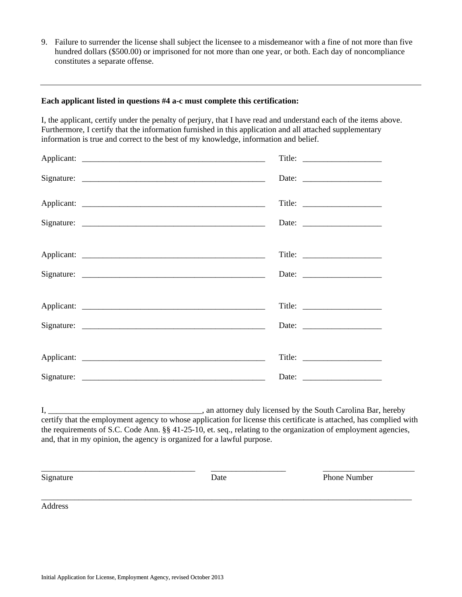9. Failure to surrender the license shall subject the licensee to a misdemeanor with a fine of not more than five hundred dollars (\$500.00) or imprisoned for not more than one year, or both. Each day of noncompliance constitutes a separate offense.

#### **Each applicant listed in questions #4 a-c must complete this certification:**

I, the applicant, certify under the penalty of perjury, that I have read and understand each of the items above. Furthermore, I certify that the information furnished in this application and all attached supplementary information is true and correct to the best of my knowledge, information and belief.

| Title: $\qquad \qquad$ |
|------------------------|
|                        |
|                        |
|                        |
|                        |

I, \_\_\_\_\_\_\_\_\_\_\_\_\_\_\_\_\_\_\_\_\_\_\_\_\_\_\_\_\_\_\_\_\_\_\_\_\_, an attorney duly licensed by the South Carolina Bar, hereby certify that the employment agency to whose application for license this certificate is attached, has complied with the requirements of S.C. Code Ann. §§ 41-25-10, et. seq., relating to the organization of employment agencies, and, that in my opinion, the agency is organized for a lawful purpose.

\_\_\_\_\_\_\_\_\_\_\_\_\_\_\_\_\_\_\_\_\_\_\_\_\_\_\_\_\_\_\_\_\_\_\_\_\_ \_\_\_\_\_\_\_\_\_\_\_\_\_\_\_\_\_\_ \_\_\_\_\_\_\_\_\_\_\_\_\_\_\_\_\_\_\_\_\_\_

\_\_\_\_\_\_\_\_\_\_\_\_\_\_\_\_\_\_\_\_\_\_\_\_\_\_\_\_\_\_\_\_\_\_\_\_\_\_\_\_\_\_\_\_\_\_\_\_\_\_\_\_\_\_\_\_\_\_\_\_\_\_\_\_\_\_\_\_\_\_\_\_\_\_\_\_\_\_\_\_\_\_\_\_\_\_\_\_\_

Signature Date **Date** Phone Number

Address